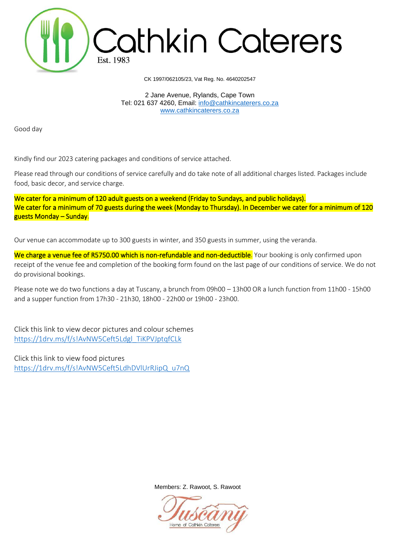

CK 1997/062105/23, Vat Reg. No. 4640202547

2 Jane Avenue, Rylands, Cape Town Tel: 021 637 4260, Email: [info@cathkincaterers.co.za](mailto:info@cathkincaterers.co.za) [www.cathkincaterers.co.za](http://www.cathkincaterers.co.za/)

Good day

Kindly find our 2023 catering packages and conditions of service attached.

Please read through our conditions of service carefully and do take note of all additional charges listed. Packages include food, basic decor, and service charge.

We cater for a minimum of 120 adult guests on a weekend (Friday to Sundays, and public holidays). We cater for a minimum of 70 guests during the week (Monday to Thursday). In December we cater for a minimum of 120 guests Monday – Sunday.

Our venue can accommodate up to 300 guests in winter, and 350 guests in summer, using the veranda.

We charge a venue fee of R5750.00 which is non-refundable and non-deductible. Your booking is only confirmed upon receipt of the venue fee and completion of the booking form found on the last page of our conditions of service. We do not do provisional bookings.

Please note we do two functions a day at Tuscany, a brunch from 09h00 – 13h00 OR a lunch function from 11h00 - 15h00 and a supper function from 17h30 - 21h30, 18h00 - 22h00 or 19h00 - 23h00.

Click this link to view decor pictures and colour schemes [https://1drv.ms/f/s!AvNW5Ceft5Ldgl\\_TiKPVJptqfCLk](https://1drv.ms/f/s!AvNW5Ceft5Ldgl_TiKPVJptqfCLk)

Click this link to view food pictures [https://1drv.ms/f/s!AvNW5Ceft5LdhDVlUrRJipQ\\_u7nQ](https://1drv.ms/f/s!AvNW5Ceft5LdhDVlUrRJipQ_u7nQ)

Members: Z. Rawoot, S. Rawoot

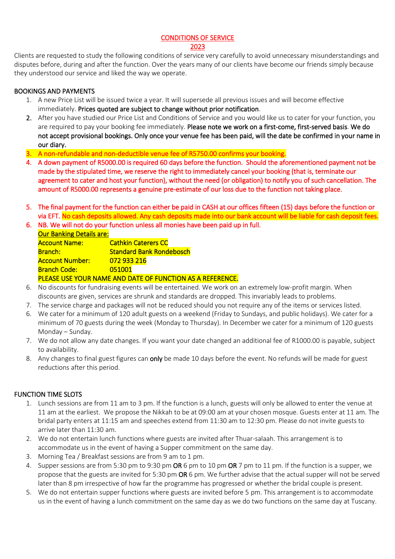CONDITIONS OF SERVICE

#### 2023

Clients are requested to study the following conditions of service very carefully to avoid unnecessary misunderstandings and disputes before, during and after the function. Over the years many of our clients have become our friends simply because they understood our service and liked the way we operate.

#### BOOKINGS AND PAYMENTS

- 1. A new Price List will be issued twice a year. It will supersede all previous issues and will become effective immediately. Prices quoted are subject to change without prior notification.
- 2. After you have studied our Price List and Conditions of Service and you would like us to cater for your function, you are required to pay your booking fee immediately. Please note we work on a first-come, first-served basis. We do not accept provisional bookings. Only once your venue fee has been paid, will the date be confirmed in your name in our diary.
- 3. A non-refundable and non-deductible venue fee of R5750.00 confirms your booking.
- 4. A down payment of R5000.00 is required 60 days before the function. Should the aforementioned payment not be made by the stipulated time, we reserve the right to immediately cancel your booking (that is, terminate our agreement to cater and host your function), without the need (or obligation) to notify you of such cancellation. The amount of R5000.00 represents a genuine pre-estimate of our loss due to the function not taking place.
- 5. The final payment for the function can either be paid in CASH at our offices fifteen (15) days before the function or via EFT. No cash deposits allowed. Any cash deposits made into our bank account will be liable for cash deposit fees.
- 6. NB. We will not do your function unless all monies have been paid up in full. Our Banking Details are: Account Name: Cathkin Caterers CC Branch: Standard Bank Rondebosch Account Number: 072 933 216 Branch Code: 051001

PLEASE USE YOUR NAME AND DATE OF FUNCTION AS A REFERENCE.

- 6. No discounts for fundraising events will be entertained. We work on an extremely low-profit margin. When discounts are given, services are shrunk and standards are dropped. This invariably leads to problems.
- 7. The service charge and packages will not be reduced should you not require any of the items or services listed.
- 6. We cater for a minimum of 120 adult guests on a weekend (Friday to Sundays, and public holidays). We cater for a minimum of 70 guests during the week (Monday to Thursday). In December we cater for a minimum of 120 guests Monday – Sunday.
- 7. We do not allow any date changes. If you want your date changed an additional fee of R1000.00 is payable, subject to availability.
- 8. Any changes to final guest figures can only be made 10 days before the event. No refunds will be made for guest reductions after this period.

#### FUNCTION TIME SLOTS

- 1. Lunch sessions are from 11 am to 3 pm. If the function is a lunch, guests will only be allowed to enter the venue at 11 am at the earliest. We propose the Nikkah to be at 09:00 am at your chosen mosque. Guests enter at 11 am. The bridal party enters at 11:15 am and speeches extend from 11:30 am to 12:30 pm. Please do not invite guests to arrive later than 11:30 am.
- 2. We do not entertain lunch functions where guests are invited after Thuar-salaah. This arrangement is to accommodate us in the event of having a Supper commitment on the same day.
- 3. Morning Tea / Breakfast sessions are from 9 am to 1 pm.
- 4. Supper sessions are from 5:30 pm to 9:30 pm OR 6 pm to 10 pm OR 7 pm to 11 pm. If the function is a supper, we propose that the guests are invited for 5:30 pm OR 6 pm. We further advise that the actual supper will not be served later than 8 pm irrespective of how far the programme has progressed or whether the bridal couple is present.
- 5. We do not entertain supper functions where guests are invited before 5 pm. This arrangement is to accommodate us in the event of having a lunch commitment on the same day as we do two functions on the same day at Tuscany.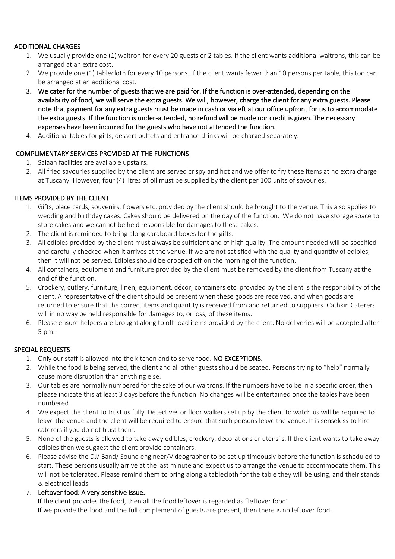#### ADDITIONAL CHARGES

- 1. We usually provide one (1) waitron for every 20 guests or 2 tables. If the client wants additional waitrons, this can be arranged at an extra cost.
- 2. We provide one (1) tablecloth for every 10 persons. If the client wants fewer than 10 persons per table, this too can be arranged at an additional cost.
- 3. We cater for the number of guests that we are paid for. If the function is over-attended, depending on the availability of food, we will serve the extra guests. We will, however, charge the client for any extra guests. Please note that payment for any extra guests must be made in cash or via eft at our office upfront for us to accommodate the extra guests. If the function is under-attended, no refund will be made nor credit is given. The necessary expenses have been incurred for the guests who have not attended the function.
- 4. Additional tables for gifts, dessert buffets and entrance drinks will be charged separately.

## COMPLIMENTARY SERVICES PROVIDED AT THE FUNCTIONS

- 1. Salaah facilities are available upstairs.
- 2. All fried savouries supplied by the client are served crispy and hot and we offer to fry these items at no extra charge at Tuscany. However, four (4) litres of oil must be supplied by the client per 100 units of savouries.

### ITEMS PROVIDED BY THE CLIENT

- 1. Gifts, place cards, souvenirs, flowers etc. provided by the client should be brought to the venue. This also applies to wedding and birthday cakes. Cakes should be delivered on the day of the function. We do not have storage space to store cakes and we cannot be held responsible for damages to these cakes.
- 2. The client is reminded to bring along cardboard boxes for the gifts.
- 3. All edibles provided by the client must always be sufficient and of high quality. The amount needed will be specified and carefully checked when it arrives at the venue. If we are not satisfied with the quality and quantity of edibles, then it will not be served. Edibles should be dropped off on the morning of the function.
- 4. All containers, equipment and furniture provided by the client must be removed by the client from Tuscany at the end of the function.
- 5. Crockery, cutlery, furniture, linen, equipment, décor, containers etc. provided by the client is the responsibility of the client. A representative of the client should be present when these goods are received, and when goods are returned to ensure that the correct items and quantity is received from and returned to suppliers. Cathkin Caterers will in no way be held responsible for damages to, or loss, of these items.
- 6. Please ensure helpers are brought along to off-load items provided by the client. No deliveries will be accepted after 5 pm.

## SPECIAL REQUESTS

- 1. Only our staff is allowed into the kitchen and to serve food. NO EXCEPTIONS.
- 2. While the food is being served, the client and all other guests should be seated. Persons trying to "help" normally cause more disruption than anything else.
- 3. Our tables are normally numbered for the sake of our waitrons. If the numbers have to be in a specific order, then please indicate this at least 3 days before the function. No changes will be entertained once the tables have been numbered.
- 4. We expect the client to trust us fully. Detectives or floor walkers set up by the client to watch us will be required to leave the venue and the client will be required to ensure that such persons leave the venue. It is senseless to hire caterers if you do not trust them.
- 5. None of the guests is allowed to take away edibles, crockery, decorations or utensils. If the client wants to take away edibles then we suggest the client provide containers.
- 6. Please advise the DJ/ Band/ Sound engineer/Videographer to be set up timeously before the function is scheduled to start. These persons usually arrive at the last minute and expect us to arrange the venue to accommodate them. This will not be tolerated. Please remind them to bring along a tablecloth for the table they will be using, and their stands & electrical leads.
- 7. Leftover food: A very sensitive issue.

If the client provides the food, then all the food leftover is regarded as "leftover food". If we provide the food and the full complement of guests are present, then there is no leftover food.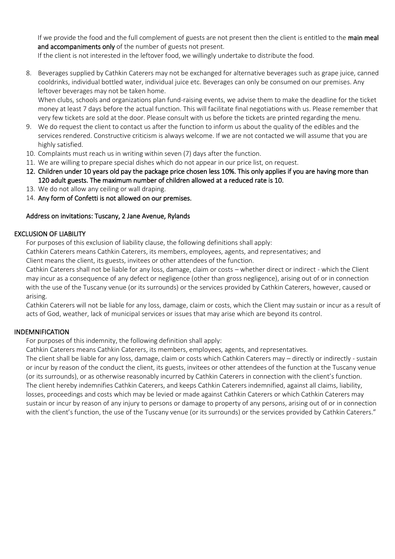If we provide the food and the full complement of guests are not present then the client is entitled to the main meal and accompaniments only of the number of guests not present.

If the client is not interested in the leftover food, we willingly undertake to distribute the food.

8. Beverages supplied by Cathkin Caterers may not be exchanged for alternative beverages such as grape juice, canned cooldrinks, individual bottled water, individual juice etc. Beverages can only be consumed on our premises. Any leftover beverages may not be taken home.

When clubs, schools and organizations plan fund-raising events, we advise them to make the deadline for the ticket money at least 7 days before the actual function. This will facilitate final negotiations with us. Please remember that very few tickets are sold at the door. Please consult with us before the tickets are printed regarding the menu.

- 9. We do request the client to contact us after the function to inform us about the quality of the edibles and the services rendered. Constructive criticism is always welcome. If we are not contacted we will assume that you are highly satisfied.
- 10. Complaints must reach us in writing within seven (7) days after the function.
- 11. We are willing to prepare special dishes which do not appear in our price list, on request.
- 12. Children under 10 years old pay the package price chosen less 10%. This only applies if you are having more than 120 adult guests. The maximum number of children allowed at a reduced rate is 10.
- 13. We do not allow any ceiling or wall draping.
- 14. Any form of Confetti is not allowed on our premises.

#### Address on invitations: Tuscany, 2 Jane Avenue, Rylands

#### EXCLUSION OF LIABILITY

For purposes of this exclusion of liability clause, the following definitions shall apply:

Cathkin Caterers means Cathkin Caterers, its members, employees, agents, and representatives; and

Client means the client, its guests, invitees or other attendees of the function.

Cathkin Caterers shall not be liable for any loss, damage, claim or costs – whether direct or indirect - which the Client may incur as a consequence of any defect or negligence (other than gross negligence), arising out of or in connection with the use of the Tuscany venue (or its surrounds) or the services provided by Cathkin Caterers, however, caused or arising.

Cathkin Caterers will not be liable for any loss, damage, claim or costs, which the Client may sustain or incur as a result of acts of God, weather, lack of municipal services or issues that may arise which are beyond its control.

#### INDEMNIFICATION

For purposes of this indemnity, the following definition shall apply:

Cathkin Caterers means Cathkin Caterers, its members, employees, agents, and representatives.

The client shall be liable for any loss, damage, claim or costs which Cathkin Caterers may – directly or indirectly - sustain or incur by reason of the conduct the client, its guests, invitees or other attendees of the function at the Tuscany venue (or its surrounds), or as otherwise reasonably incurred by Cathkin Caterers in connection with the client's function. The client hereby indemnifies Cathkin Caterers, and keeps Cathkin Caterers indemnified, against all claims, liability, losses, proceedings and costs which may be levied or made against Cathkin Caterers or which Cathkin Caterers may sustain or incur by reason of any injury to persons or damage to property of any persons, arising out of or in connection with the client's function, the use of the Tuscany venue (or its surrounds) or the services provided by Cathkin Caterers."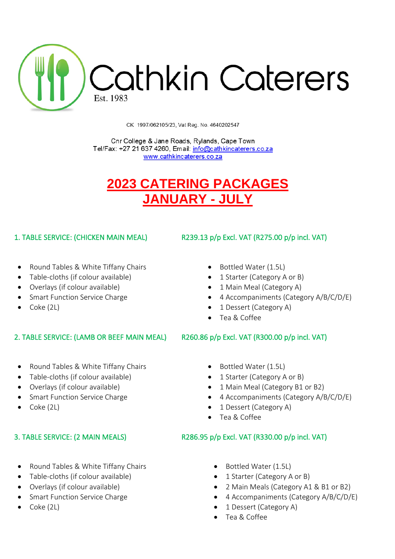

CK 1997/062105/23, Vat Reg. No. 4640202547

Cnr College & Jane Roads, Rylands, Cape Town Tel/Fax: +27 21 637 4260, Email: info@cathkincaterers.co.za www.cathkincaterers.co.za

# **2023 CATERING PACKAGES JANUARY - JULY**

- Round Tables & White Tiffany Chairs • Bottled Water (1.5L)
- Table-cloths (if colour available) 1 Starter (Category A or B)
- Overlays (if colour available) 1 Main Meal (Category A)
- 
- 

## 2. TABLE SERVICE: (LAMB OR BEEF MAIN MEAL) R260.86 p/p Excl. VAT (R300.00 p/p incl. VAT)

- Round Tables & White Tiffany Chairs • Bottled Water (1.5L)
- Table-cloths (if colour available) 1 Starter (Category A or B)
- 
- 
- 

- Round Tables & White Tiffany Chairs Bottled Water (1.5L)
- Table-cloths (if colour available) 1 Starter (Category A or B)
- 
- 
- 

## 1. TABLE SERVICE: (CHICKEN MAIN MEAL) R239.13 p/p Excl. VAT (R275.00 p/p incl. VAT)

- 
- 
- 
- Smart Function Service Charge  **4 Accompaniments (Category A/B/C/D/E)**
- Coke (2L) 1 Dessert (Category A)
	- Tea & Coffee

- 
- 
- Overlays (if colour available) 1 Main Meal (Category B1 or B2)
- Smart Function Service Charge  **4 Accompaniments (Category A/B/C/D/E)**
- Coke (2L) 1 Dessert (Category A)
	- Tea & Coffee

## 3. TABLE SERVICE: (2 MAIN MEALS) R286.95 p/p Excl. VAT (R330.00 p/p incl. VAT)

- 
- 
- Overlays (if colour available) 2 Main Meals (Category A1 & B1 or B2)
- Smart Function Service Charge  **4 Accompaniments (Category A/B/C/D/E)**
- Coke (2L) 1 Dessert (Category A)
	- Tea & Coffee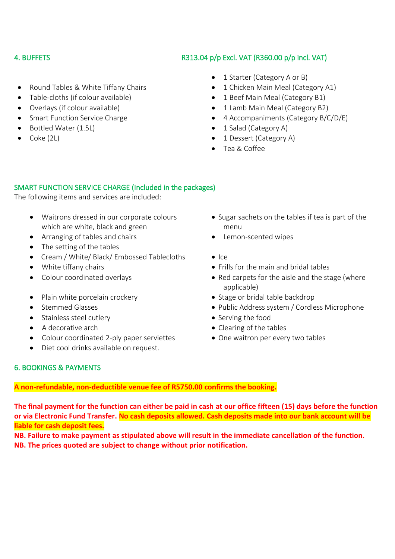## 4. BUFFETS R313.04 p/p Excl. VAT (R360.00 p/p incl. VAT)

- Round Tables & White Tiffany Chairs 1 Chicken Main Meal (Category A1)
- Table-cloths (if colour available) 1 Beef Main Meal (Category B1)
- 
- 
- Bottled Water (1.5L) 1 Salad (Category A)
- 
- 1 Starter (Category A or B)
- 
- 
- Overlays (if colour available) 1 Lamb Main Meal (Category B2)
- Smart Function Service Charge  **4 Accompaniments (Category B/C/D/E)** 
	-
- Coke (2L) 1 Dessert (Category A)
	- Tea & Coffee

## SMART FUNCTION SERVICE CHARGE (Included in the packages)

The following items and services are included:

- Waitrons dressed in our corporate colours which are white, black and green
- Arranging of tables and chairs **•** Lemon-scented wipes
- The setting of the tables
- Cream / White/ Black/ Embossed Tablecloths Ice
- 
- 
- Plain white porcelain crockery Stage or bridal table backdrop
- 
- Stainless steel cutlery  **Serving the food**
- 
- Colour coordinated 2-ply paper serviettes One waitron per every two tables
- Diet cool drinks available on request.
- Sugar sachets on the tables if tea is part of the menu
- 
- 
- White tiffany chairs  **Frills for the main and bridal tables** Frills for the main and bridal tables
- Colour coordinated overlays extending the Red carpets for the aisle and the stage (where applicable)
	-
- Stemmed Glasses Public Address system / Cordless Microphone
	-
- A decorative arch  **Clearing of the tables** 
	-

## 6. BOOKINGS & PAYMENTS

## **A non-refundable, non-deductible venue fee of R5750.00 confirms the booking.**

**The final payment for the function can either be paid in cash at our office fifteen (15) days before the function or via Electronic Fund Transfer. No cash deposits allowed. Cash deposits made into our bank account will be liable for cash deposit fees.**

**NB. Failure to make payment as stipulated above will result in the immediate cancellation of the function. NB. The prices quoted are subject to change without prior notification.**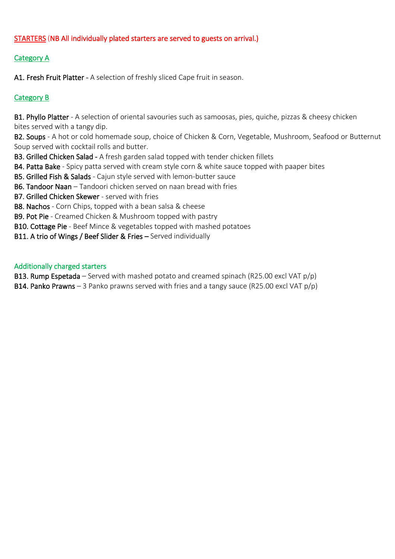## STARTERS (NB All individually plated starters are served to guests on arrival.)

## Category A

A1. Fresh Fruit Platter - A selection of freshly sliced Cape fruit in season.

## Category B

B1. Phyllo Platter - A selection of oriental savouries such as samoosas, pies, quiche, pizzas & cheesy chicken bites served with a tangy dip.

B2. Soups - A hot or cold homemade soup, choice of Chicken & Corn, Vegetable, Mushroom, Seafood or Butternut Soup served with cocktail rolls and butter.

B3. Grilled Chicken Salad - A fresh garden salad topped with tender chicken fillets

B4. Patta Bake - Spicy patta served with cream style corn & white sauce topped with paaper bites

B5. Grilled Fish & Salads - Cajun style served with lemon-butter sauce

B6. Tandoor Naan – Tandoori chicken served on naan bread with fries

B7. Grilled Chicken Skewer - served with fries

B8. Nachos - Corn Chips, topped with a bean salsa & cheese

B9. Pot Pie - Creamed Chicken & Mushroom topped with pastry

B10. Cottage Pie - Beef Mince & vegetables topped with mashed potatoes

B11. A trio of Wings / Beef Slider & Fries – Served individually

### Additionally charged starters

**B13. Rump Espetada** – Served with mashed potato and creamed spinach (R25.00 excl VAT  $p/p$ ) **B14. Panko Prawns** – 3 Panko prawns served with fries and a tangy sauce (R25.00 excl VAT  $p/p$ )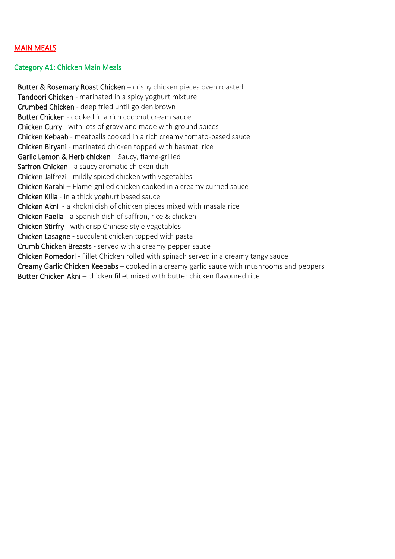## MAIN MEALS

#### Category A1: Chicken Main Meals

Butter & Rosemary Roast Chicken – crispy chicken pieces oven roasted Tandoori Chicken - marinated in a spicy yoghurt mixture Crumbed Chicken - deep fried until golden brown Butter Chicken - cooked in a rich coconut cream sauce Chicken Curry - with lots of gravy and made with ground spices Chicken Kebaab - meatballs cooked in a rich creamy tomato-based sauce Chicken Biryani - marinated chicken topped with basmati rice Garlic Lemon & Herb chicken – Saucy, flame-grilled Saffron Chicken - a saucy aromatic chicken dish Chicken Jalfrezi - mildly spiced chicken with vegetables Chicken Karahi – Flame-grilled chicken cooked in a creamy curried sauce Chicken Kilia - in a thick yoghurt based sauce Chicken Akni - a khokni dish of chicken pieces mixed with masala rice Chicken Paella - a Spanish dish of saffron, rice & chicken Chicken Stirfry - with crisp Chinese style vegetables Chicken Lasagne - succulent chicken topped with pasta Crumb Chicken Breasts - served with a creamy pepper sauce Chicken Pomedori - Fillet Chicken rolled with spinach served in a creamy tangy sauce Creamy Garlic Chicken Keebabs – cooked in a creamy garlic sauce with mushrooms and peppers Butter Chicken Akni – chicken fillet mixed with butter chicken flavoured rice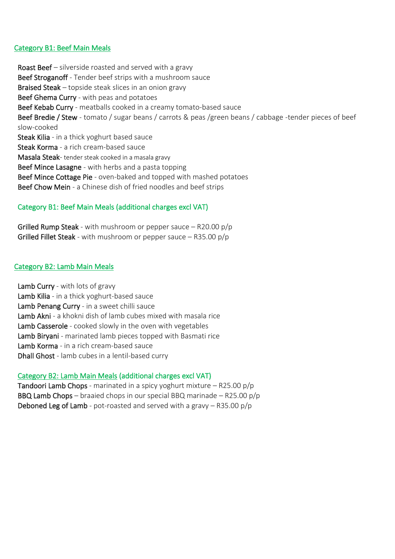#### Category B1: Beef Main Meals

Roast Beef – silverside roasted and served with a gravy Beef Stroganoff - Tender beef strips with a mushroom sauce Braised Steak – topside steak slices in an onion gravy Beef Ghema Curry - with peas and potatoes Beef Kebab Curry - meatballs cooked in a creamy tomato-based sauce Beef Bredie / Stew - tomato / sugar beans / carrots & peas /green beans / cabbage -tender pieces of beef slow-cooked Steak Kilia - in a thick yoghurt based sauce Steak Korma - a rich cream-based sauce Masala Steak- tender steak cooked in a masala gravy Beef Mince Lasagne - with herbs and a pasta topping Beef Mince Cottage Pie - oven-baked and topped with mashed potatoes Beef Chow Mein - a Chinese dish of fried noodles and beef strips

## Category B1: Beef Main Meals (additional charges excl VAT)

**Grilled Rump Steak** - with mushroom or pepper sauce  $-$  R20.00 p/p Grilled Fillet Steak - with mushroom or pepper sauce  $-$  R35.00 p/p

## Category B2: Lamb Main Meals

Lamb Curry - with lots of gravy Lamb Kilia - in a thick yoghurt-based sauce Lamb Penang Curry - in a sweet chilli sauce Lamb Akni - a khokni dish of lamb cubes mixed with masala rice Lamb Casserole - cooked slowly in the oven with vegetables Lamb Biryani - marinated lamb pieces topped with Basmati rice Lamb Korma - in a rich cream-based sauce Dhall Ghost - lamb cubes in a lentil-based curry

## Category B2: Lamb Main Meals (additional charges excl VAT)

Tandoori Lamb Chops - marinated in a spicy yoghurt mixture – R25.00 p/p BBQ Lamb Chops – braaied chops in our special BBQ marinade – R25.00 p/p Deboned Leg of Lamb - pot-roasted and served with a gravy – R35.00 p/p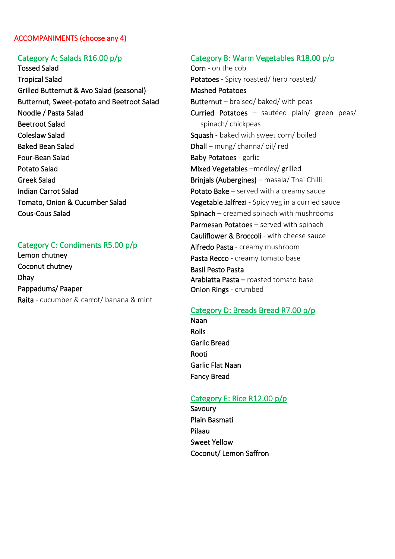### ACCOMPANIMENTS (choose any 4)

### Category A: Salads R16.00 p/p

Tossed Salad Tropical Salad Grilled Butternut & Avo Salad (seasonal) Butternut, Sweet-potato and Beetroot Salad Noodle / Pasta Salad Beetroot Salad Coleslaw Salad Baked Bean Salad Four-Bean Salad Potato Salad Greek Salad Indian Carrot Salad Tomato, Onion & Cucumber Salad Cous-Cous Salad

### Category C: Condiments R5.00 p/p

Lemon chutney Coconut chutney Dhay Pappadums/ Paaper Raita - cucumber & carrot/ banana & mint

#### Category B: Warm Vegetables R18.00 p/p

Corn - on the cob Potatoes - Spicy roasted/ herb roasted/ Mashed Potatoes Butternut – braised/ baked/ with peas Curried Potatoes – sautéed plain/ green peas/ spinach/ chickpeas Squash - baked with sweet corn/ boiled Dhall – mung/ channa/ oil/ red Baby Potatoes - garlic Mixed Vegetables –medley/ grilled Brinjals (Aubergines) – masala/ Thai Chilli Potato Bake - served with a creamy sauce Vegetable Jalfrezi - Spicy veg in a curried sauce Spinach – creamed spinach with mushrooms Parmesan Potatoes - served with spinach Cauliflower & Broccoli - with cheese sauce Alfredo Pasta - creamy mushroom Pasta Recco - creamy tomato base Basil Pesto Pasta Arabiatta Pasta – roasted tomato base Onion Rings - crumbed

#### Category D: Breads Bread R7.00 p/p

Naan Rolls Garlic Bread Rooti Garlic Flat Naan Fancy Bread

#### Category E: Rice R12.00 p/p

Savoury Plain Basmati Pilaau Sweet Yellow Coconut/ Lemon Saffron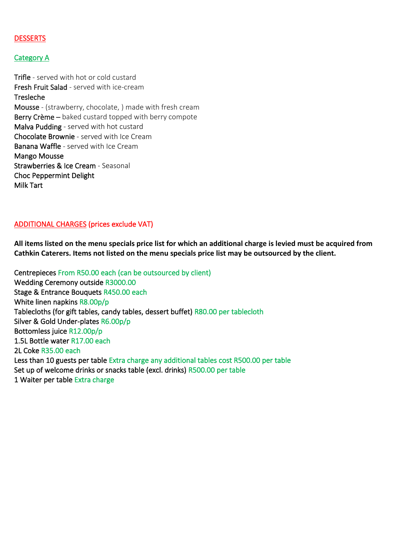### **DESSERTS**

#### Category A

Trifle - served with hot or cold custard Fresh Fruit Salad - served with ice-cream Tresleche Mousse - (strawberry, chocolate, ) made with fresh cream Berry Crème - baked custard topped with berry compote Malva Pudding - served with hot custard Chocolate Brownie - served with Ice Cream Banana Waffle - served with Ice Cream Mango Mousse Strawberries & Ice Cream - Seasonal Choc Peppermint Delight Milk Tart

#### ADDITIONAL CHARGES (prices exclude VAT)

**All items listed on the menu specials price list for which an additional charge is levied must be acquired from Cathkin Caterers. Items not listed on the menu specials price list may be outsourced by the client.**

Centrepieces From R50.00 each (can be outsourced by client) Wedding Ceremony outside R3000.00 Stage & Entrance Bouquets R450.00 each White linen napkins R8.00p/p Tablecloths (for gift tables, candy tables, dessert buffet) R80.00 per tablecloth Silver & Gold Under-plates R6.00p/p Bottomless juice R12.00p/p 1.5L Bottle water R17.00 each 2L Coke R35.00 each Less than 10 guests per table Extra charge any additional tables cost R500.00 per table Set up of welcome drinks or snacks table (excl. drinks) R500.00 per table 1 Waiter per table Extra charge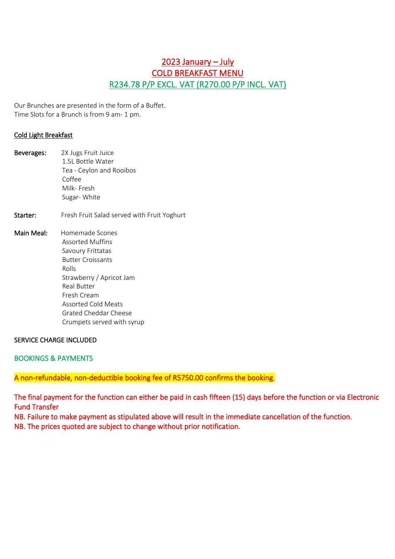## 2023 January – July COLD BREAKFAST MENU R234.78 P/P EXCL. VAT (R270.00 P/P INCL. VAT)

Our Brunches are presented in the form of a Buffet. Time Slots for a Brunch is from 9 am- 1 pm.

#### Cold Light Breakfast

| Beverages: | 2X Jugs Fruit Juice                         |
|------------|---------------------------------------------|
|            | 1.5L Bottle Water                           |
|            | Tea - Ceylon and Rooibos                    |
|            | Coffee                                      |
|            | Milk- Fresh                                 |
|            | Sugar-White                                 |
| Starter:   | Fresh Fruit Salad served with Fruit Yoghurt |
| Main Meal: | Homemade Scones                             |
|            | Assorted Muffins                            |
|            | Savoury Frittatas                           |
|            | <b>Butter Croissants</b>                    |
|            | Rolls                                       |
|            | Strawberry / Apricot Jam                    |
|            | <b>Real Butter</b>                          |
|            | Fresh Cream                                 |
|            | Assorted Cold Meats                         |
|            | Grated Cheddar Cheese                       |
|            | Crumpets served with syrup                  |

#### SERVICE CHARGE INCLUDED

#### BOOKINGS & PAYMENTS

A non-refundable, non-deductible booking fee of R5750.00 confirms the booking.

The final payment for the function can either be paid in cash fifteen (15) days before the function or via Electronic Fund Transfer

NB. Failure to make payment as stipulated above will result in the immediate cancellation of the function. NB. The prices quoted are subject to change without prior notification.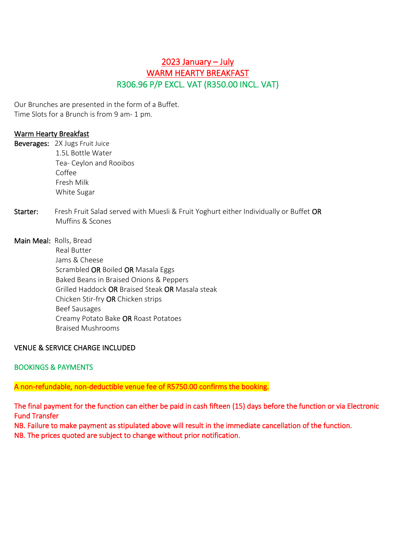## 2023 January – July WARM HEARTY BREAKFAST R306.96 P/P EXCL. VAT (R350.00 INCL. VAT)

Our Brunches are presented in the form of a Buffet. Time Slots for a Brunch is from 9 am- 1 pm.

### Warm Hearty Breakfast

|          | Beverages: 2X Jugs Fruit Juice                                                        |
|----------|---------------------------------------------------------------------------------------|
|          | 1.5L Bottle Water                                                                     |
|          | Tea- Ceylon and Rooibos                                                               |
|          | Coffee                                                                                |
|          | Fresh Milk                                                                            |
|          | White Sugar                                                                           |
| Starter: | Fresh Fruit Salad served with Muesli & Fruit Yoghurt either Individually or Buffet OR |
|          | Muffins & Scones                                                                      |
|          | Main Meal: Rolls, Bread                                                               |
|          | <b>Real Butter</b>                                                                    |
|          | Jams & Cheese                                                                         |
|          | Scrambled OR Boiled OR Masala Eggs                                                    |
|          | Baked Beans in Braised Onions & Peppers                                               |
|          | Grilled Haddock OR Braised Steak OR Masala steak                                      |
|          | Chicken Stir-fry OR Chicken strips                                                    |
|          | <b>Beef Sausages</b>                                                                  |
|          | Creamy Potato Bake OR Roast Potatoes                                                  |
|          | <b>Braised Mushrooms</b>                                                              |

## VENUE & SERVICE CHARGE INCLUDED

## BOOKINGS & PAYMENTS

## A non-refundable, non-deductible venue fee of R5750.00 confirms the booking.

The final payment for the function can either be paid in cash fifteen (15) days before the function or via Electronic Fund Transfer

NB. Failure to make payment as stipulated above will result in the immediate cancellation of the function. NB. The prices quoted are subject to change without prior notification.